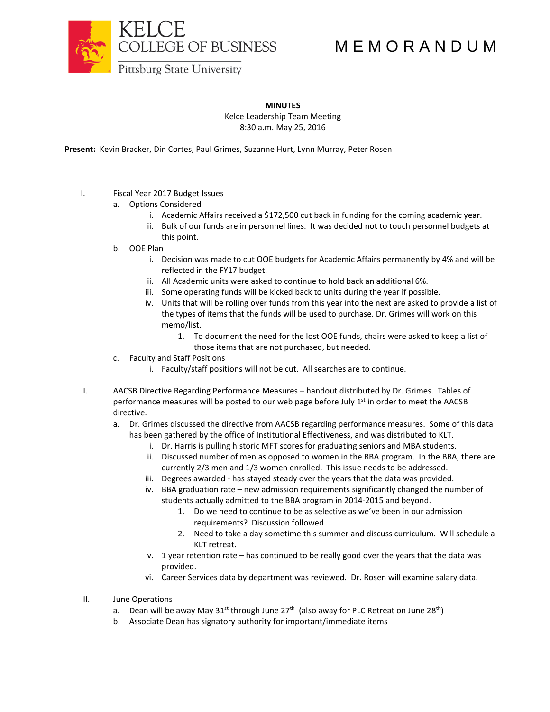

## M E M O R A N D U M

**MINUTES**

Kelce Leadership Team Meeting 8:30 a.m. May 25, 2016

**Present:** Kevin Bracker, Din Cortes, Paul Grimes, Suzanne Hurt, Lynn Murray, Peter Rosen

- I. Fiscal Year 2017 Budget Issues
	- a. Options Considered
		- i. Academic Affairs received a \$172,500 cut back in funding for the coming academic year.
		- ii. Bulk of our funds are in personnel lines. It was decided not to touch personnel budgets at this point.
	- b. OOE Plan
		- i. Decision was made to cut OOE budgets for Academic Affairs permanently by 4% and will be reflected in the FY17 budget.
		- ii. All Academic units were asked to continue to hold back an additional 6%.
		- iii. Some operating funds will be kicked back to units during the year if possible.
		- iv. Units that will be rolling over funds from this year into the next are asked to provide a list of the types of items that the funds will be used to purchase. Dr. Grimes will work on this memo/list.
			- 1. To document the need for the lost OOE funds, chairs were asked to keep a list of those items that are not purchased, but needed.
	- c. Faculty and Staff Positions
		- i. Faculty/staff positions will not be cut. All searches are to continue.
- II. AACSB Directive Regarding Performance Measures handout distributed by Dr. Grimes. Tables of performance measures will be posted to our web page before July  $1<sup>st</sup>$  in order to meet the AACSB directive.
	- a. Dr. Grimes discussed the directive from AACSB regarding performance measures. Some of this data has been gathered by the office of Institutional Effectiveness, and was distributed to KLT.
		- i. Dr. Harris is pulling historic MFT scores for graduating seniors and MBA students.
		- ii. Discussed number of men as opposed to women in the BBA program. In the BBA, there are currently 2/3 men and 1/3 women enrolled. This issue needs to be addressed.
		- iii. Degrees awarded has stayed steady over the years that the data was provided.
		- iv. BBA graduation rate new admission requirements significantly changed the number of students actually admitted to the BBA program in 2014-2015 and beyond.
			- 1. Do we need to continue to be as selective as we've been in our admission requirements? Discussion followed.
			- 2. Need to take a day sometime this summer and discuss curriculum. Will schedule a KLT retreat.
		- v. 1 year retention rate has continued to be really good over the years that the data was provided.
		- vi. Career Services data by department was reviewed. Dr. Rosen will examine salary data.
- III. June Operations
	- a. Dean will be away May 31<sup>st</sup> through June 27<sup>th</sup> (also away for PLC Retreat on June 28<sup>th</sup>)
	- b. Associate Dean has signatory authority for important/immediate items